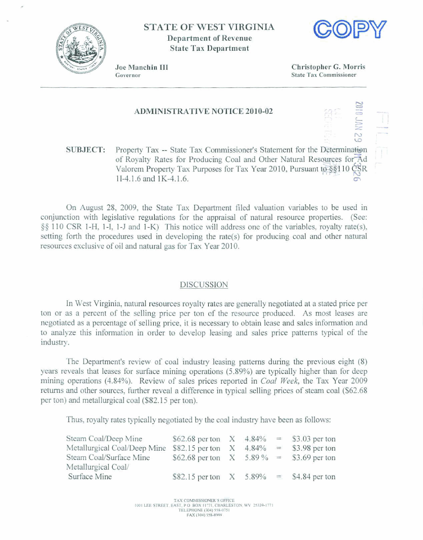

## **STATE OF WEST VIRGINIA Department af Revenue State Tax Department**



**<sup>s</sup>**- **7,** <sup>z</sup>

 $\frac{1}{2}$ .  $\frac{1}{2}$ 

**5**  7 - **2** --?.

Joe Manchin III Governor

**Christopher** *G.* **Morris State Tax Commissioner** 

## **ADMINISTRATIVE NOTICE 2010-02**

**SUBJECT:** Property Tax -- State Tax Commissioner's Statement for the Determination **of Royalty Rates for Producing Coal and Other Natural Resources for Ad Valorem Property Tax Purposes for Tax Year 2010, Pursuant to §§110**  $\frac{OSR}{OSR}$  **11-4.1.6 and 1K-4.1.6. Valorem Property Tax Purposes for Tax Year 2010, Pursuant to**  $\S$ **\$110 CSR** 

**On August** 28, **2009, the State Tax** Department **filed valuation variables to be** used in conjunction **with** legislative regulations for the **appraisal** of natural **resource properties. (See: <sup>49</sup>110 CSR** I-H, 1-1, 1-J **and** I-K) This notice will **address** one of **the variables, royalty rate(s), setting** forth the procedures wed in **developing** the rate(s) for producing **coal** mid other natural **resources excIusive** of **oil** and **natural gas for** Tax Year 20 10.

## **DISCUSSION**

**In West** Virginia, natural **resources** royalty rates are generally negotiated **at a** stated **price per ton or as a percent** of **the** selling **price per** ton of **the resource produced. As most leases are negotiated as a** percentage of **selling price, it** is necessary to obtain **lease** and sales information **and to** analyze **this** information **in** order **to develop** leasing **and** sdes **price patterns** typical of **the**  industry.

The **Department's review of** coal industry leasing patferns during the **previous eight (8) years reveals that** leases **for** surface **mining** operations **(5,89%)** are typically higher than for deep mining operations **(4.84%). Review of sales** prices reported in *Coal Week* the Tax **Year** 2009 returns **and** other sources, further reveal **a** difference in typical **selling prices** of **steam** coal **(\$62.68 per ton)** and **metallurgical** coal (\$82.1 **5 per** ton).

**Thus, royalty rates** typically **negotiated by the coal industry have been as follows:** 

| Steam Coal/Deep Mine         | \$62.68 per ton $X = 4.84\% = 15.03$ per ton |  |  |
|------------------------------|----------------------------------------------|--|--|
| Metallurgical Coal/Deep Mine | \$82.15 per ton $X$ 4.84% = \$3.98 per ton   |  |  |
| Steam Coal/Surface Mine      | \$62.68 per ton $X = 5.89\% = 53.69$ per ton |  |  |
| Metallurgical Coal/          |                                              |  |  |
| Surface Mine                 | \$82.15 per ton $X = 5.89\% = 4.84$ per ton  |  |  |